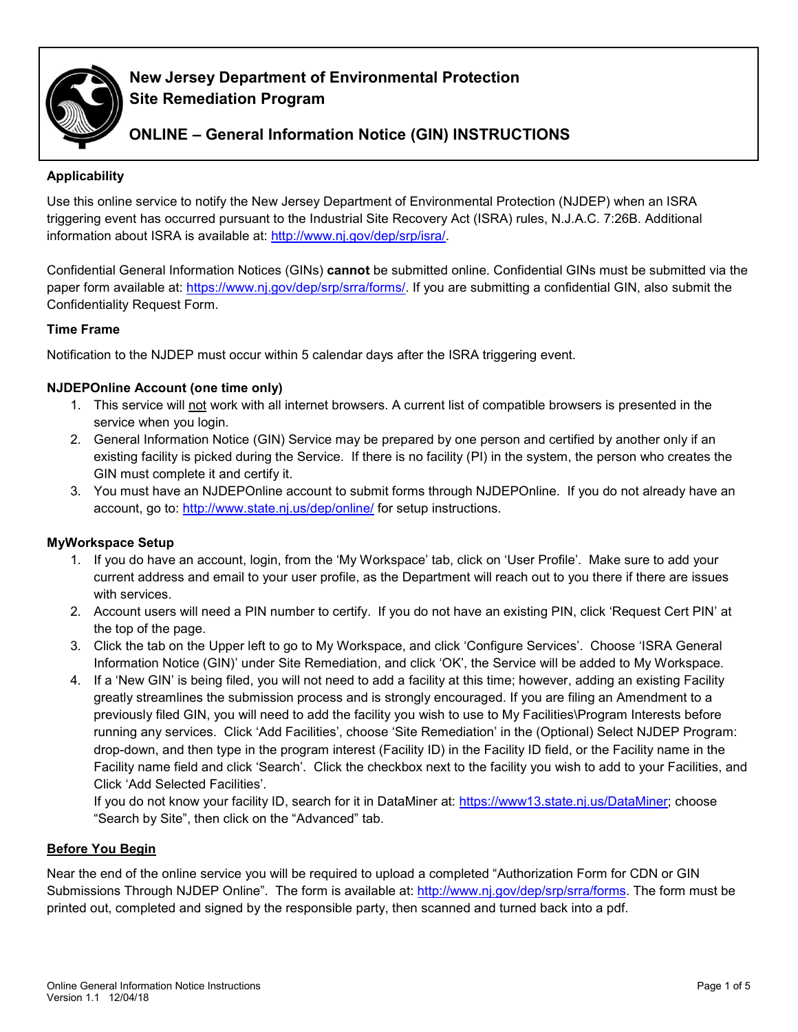

# **New Jersey Department of Environmental Protection Site Remediation Program**

# **ONLINE – General Information Notice (GIN) INSTRUCTIONS**

# **Applicability**

Use this online service to notify the New Jersey Department of Environmental Protection (NJDEP) when an ISRA triggering event has occurred pursuant to the Industrial Site Recovery Act (ISRA) rules, N.J.A.C. 7:26B. Additional information about ISRA is available at: [http://www.nj.gov/dep/srp/isra/.](http://www.nj.gov/dep/srp/isra/)

Confidential General Information Notices (GINs) **cannot** be submitted online. Confidential GINs must be submitted via the paper form available at: [https://www.nj.gov/dep/srp/srra/forms/.](https://www.nj.gov/dep/srp/srra/forms/) If you are submitting a confidential GIN, also submit the Confidentiality Request Form.

# **Time Frame**

Notification to the NJDEP must occur within 5 calendar days after the ISRA triggering event.

# **NJDEPOnline Account (one time only)**

- 1. This service will not work with all internet browsers. A current list of compatible browsers is presented in the service when you login.
- 2. General Information Notice (GIN) Service may be prepared by one person and certified by another only if an existing facility is picked during the Service. If there is no facility (PI) in the system, the person who creates the GIN must complete it and certify it.
- 3. You must have an NJDEPOnline account to submit forms through NJDEPOnline. If you do not already have an account, go to:<http://www.state.nj.us/dep/online/> for setup instructions.

## **MyWorkspace Setup**

- 1. If you do have an account, login, from the 'My Workspace' tab, click on 'User Profile'. Make sure to add your current address and email to your user profile, as the Department will reach out to you there if there are issues with services.
- 2. Account users will need a PIN number to certify. If you do not have an existing PIN, click 'Request Cert PIN' at the top of the page.
- 3. Click the tab on the Upper left to go to My Workspace, and click 'Configure Services'. Choose 'ISRA General Information Notice (GIN)' under Site Remediation, and click 'OK', the Service will be added to My Workspace.
- 4. If a 'New GIN' is being filed, you will not need to add a facility at this time; however, adding an existing Facility greatly streamlines the submission process and is strongly encouraged. If you are filing an Amendment to a previously filed GIN, you will need to add the facility you wish to use to My Facilities\Program Interests before running any services. Click 'Add Facilities', choose 'Site Remediation' in the (Optional) Select NJDEP Program: drop-down, and then type in the program interest (Facility ID) in the Facility ID field, or the Facility name in the Facility name field and click 'Search'. Click the checkbox next to the facility you wish to add to your Facilities, and Click 'Add Selected Facilities'.

If you do not know your facility ID, search for it in DataMiner at: [https://www13.state.nj.us/DataMiner;](https://www13.state.nj.us/DataMiner) choose "Search by Site", then click on the "Advanced" tab.

## **Before You Begin**

Near the end of the online service you will be required to upload a completed "Authorization Form for CDN or GIN Submissions Through NJDEP Online". The form is available at: [http://www.nj.gov/dep/srp/srra/forms.](http://www.nj.gov/dep/srp/srra/forms) The form must be printed out, completed and signed by the responsible party, then scanned and turned back into a pdf.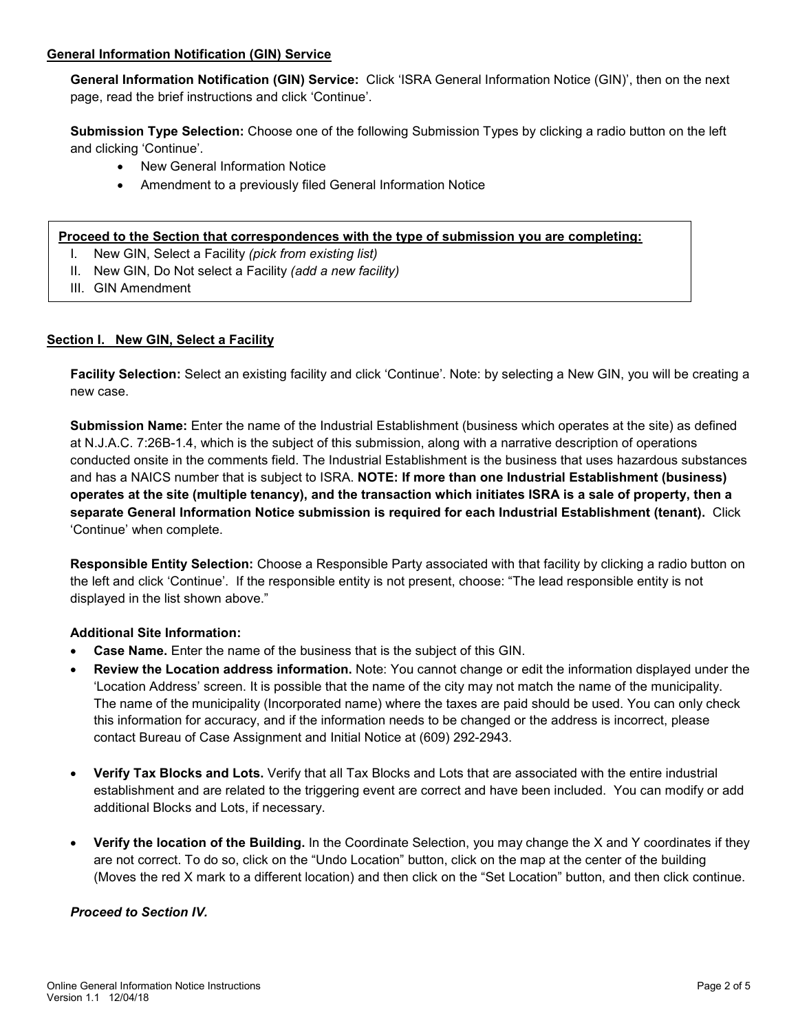## **General Information Notification (GIN) Service**

**General Information Notification (GIN) Service:** Click 'ISRA General Information Notice (GIN)', then on the next page, read the brief instructions and click 'Continue'.

**Submission Type Selection:** Choose one of the following Submission Types by clicking a radio button on the left and clicking 'Continue'.

- New General Information Notice
- Amendment to a previously filed General Information Notice

#### **Proceed to the Section that correspondences with the type of submission you are completing:**

- I. New GIN, Select a Facility *(pick from existing list)*
- II. New GIN, Do Not select a Facility *(add a new facility)*
- III. GIN Amendment

#### **Section I. New GIN, Select a Facility**

**Facility Selection:** Select an existing facility and click 'Continue'. Note: by selecting a New GIN, you will be creating a new case.

**Submission Name:** Enter the name of the Industrial Establishment (business which operates at the site) as defined at N.J.A.C. 7:26B-1.4, which is the subject of this submission, along with a narrative description of operations conducted onsite in the comments field. The Industrial Establishment is the business that uses hazardous substances and has a NAICS number that is subject to ISRA. **NOTE: If more than one Industrial Establishment (business) operates at the site (multiple tenancy), and the transaction which initiates ISRA is a sale of property, then a separate General Information Notice submission is required for each Industrial Establishment (tenant).** Click 'Continue' when complete.

**Responsible Entity Selection:** Choose a Responsible Party associated with that facility by clicking a radio button on the left and click 'Continue'. If the responsible entity is not present, choose: "The lead responsible entity is not displayed in the list shown above."

#### **Additional Site Information:**

- **Case Name.** Enter the name of the business that is the subject of this GIN.
- **Review the Location address information.** Note: You cannot change or edit the information displayed under the 'Location Address' screen. It is possible that the name of the city may not match the name of the municipality. The name of the municipality (Incorporated name) where the taxes are paid should be used. You can only check this information for accuracy, and if the information needs to be changed or the address is incorrect, please contact Bureau of Case Assignment and Initial Notice at (609) 292-2943.
- **Verify Tax Blocks and Lots.** Verify that all Tax Blocks and Lots that are associated with the entire industrial establishment and are related to the triggering event are correct and have been included. You can modify or add additional Blocks and Lots, if necessary.
- **Verify the location of the Building.** In the Coordinate Selection, you may change the X and Y coordinates if they are not correct. To do so, click on the "Undo Location" button, click on the map at the center of the building (Moves the red X mark to a different location) and then click on the "Set Location" button, and then click continue.

#### *Proceed to Section IV.*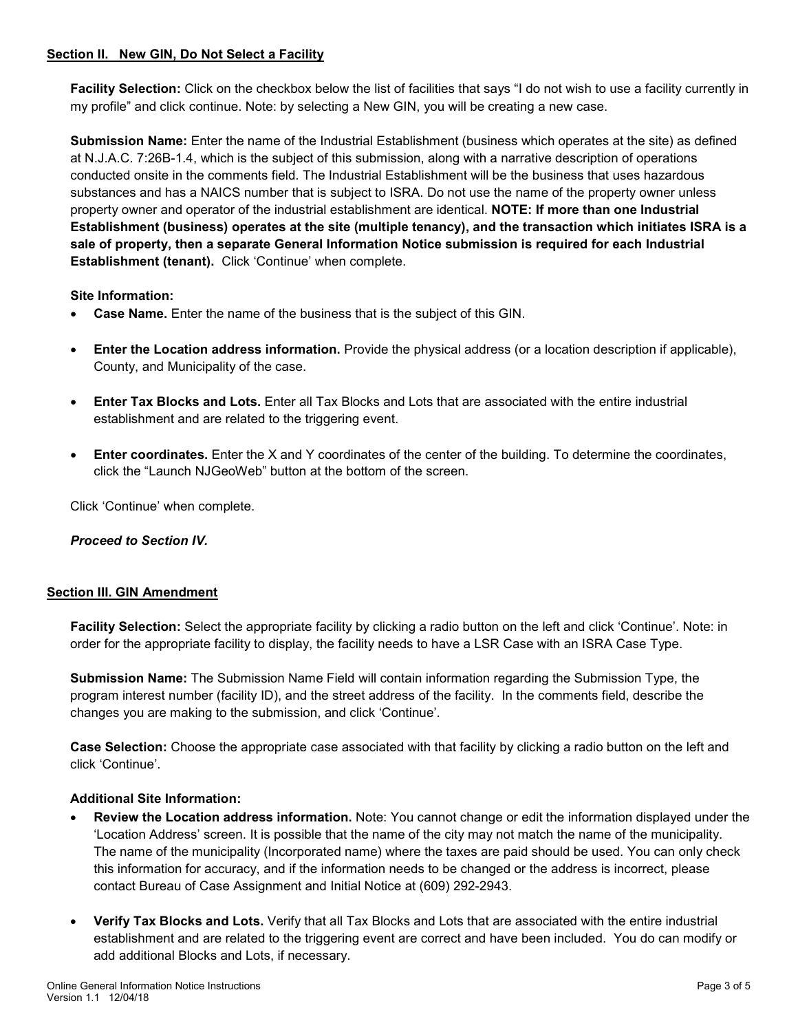## **Section II. New GIN, Do Not Select a Facility**

**Facility Selection:** Click on the checkbox below the list of facilities that says "I do not wish to use a facility currently in my profile" and click continue. Note: by selecting a New GIN, you will be creating a new case.

**Submission Name:** Enter the name of the Industrial Establishment (business which operates at the site) as defined at N.J.A.C. 7:26B-1.4, which is the subject of this submission, along with a narrative description of operations conducted onsite in the comments field. The Industrial Establishment will be the business that uses hazardous substances and has a NAICS number that is subject to ISRA. Do not use the name of the property owner unless property owner and operator of the industrial establishment are identical. **NOTE: If more than one Industrial Establishment (business) operates at the site (multiple tenancy), and the transaction which initiates ISRA is a sale of property, then a separate General Information Notice submission is required for each Industrial Establishment (tenant).** Click 'Continue' when complete.

# **Site Information:**

- **Case Name.** Enter the name of the business that is the subject of this GIN.
- **Enter the Location address information.** Provide the physical address (or a location description if applicable), County, and Municipality of the case.
- **Enter Tax Blocks and Lots.** Enter all Tax Blocks and Lots that are associated with the entire industrial establishment and are related to the triggering event.
- **Enter coordinates.** Enter the X and Y coordinates of the center of the building. To determine the coordinates, click the "Launch NJGeoWeb" button at the bottom of the screen.

Click 'Continue' when complete.

## *Proceed to Section IV.*

## **Section III. GIN Amendment**

**Facility Selection:** Select the appropriate facility by clicking a radio button on the left and click 'Continue'. Note: in order for the appropriate facility to display, the facility needs to have a LSR Case with an ISRA Case Type.

**Submission Name:** The Submission Name Field will contain information regarding the Submission Type, the program interest number (facility ID), and the street address of the facility. In the comments field, describe the changes you are making to the submission, and click 'Continue'.

**Case Selection:** Choose the appropriate case associated with that facility by clicking a radio button on the left and click 'Continue'.

## **Additional Site Information:**

- **Review the Location address information.** Note: You cannot change or edit the information displayed under the 'Location Address' screen. It is possible that the name of the city may not match the name of the municipality. The name of the municipality (Incorporated name) where the taxes are paid should be used. You can only check this information for accuracy, and if the information needs to be changed or the address is incorrect, please contact Bureau of Case Assignment and Initial Notice at (609) 292-2943.
- **Verify Tax Blocks and Lots.** Verify that all Tax Blocks and Lots that are associated with the entire industrial establishment and are related to the triggering event are correct and have been included. You do can modify or add additional Blocks and Lots, if necessary.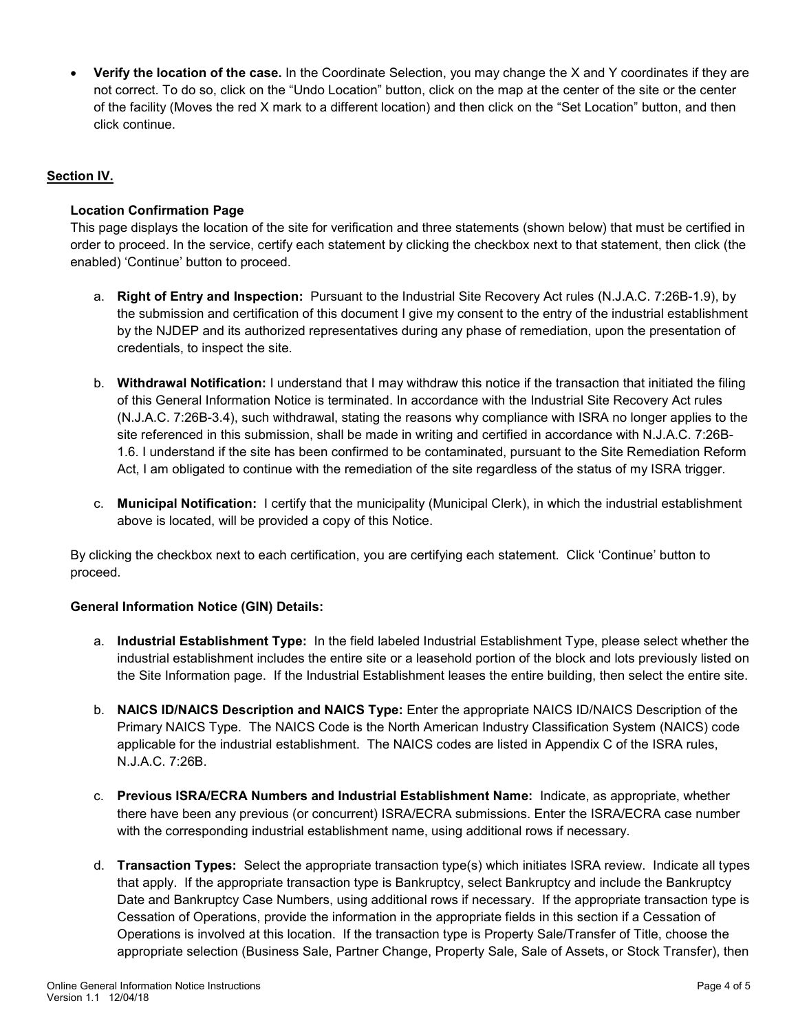• **Verify the location of the case.** In the Coordinate Selection, you may change the X and Y coordinates if they are not correct. To do so, click on the "Undo Location" button, click on the map at the center of the site or the center of the facility (Moves the red X mark to a different location) and then click on the "Set Location" button, and then click continue.

# **Section IV.**

# **Location Confirmation Page**

This page displays the location of the site for verification and three statements (shown below) that must be certified in order to proceed. In the service, certify each statement by clicking the checkbox next to that statement, then click (the enabled) 'Continue' button to proceed.

- a. **Right of Entry and Inspection:** Pursuant to the Industrial Site Recovery Act rules (N.J.A.C. 7:26B-1.9), by the submission and certification of this document I give my consent to the entry of the industrial establishment by the NJDEP and its authorized representatives during any phase of remediation, upon the presentation of credentials, to inspect the site.
- b. **Withdrawal Notification:** I understand that I may withdraw this notice if the transaction that initiated the filing of this General Information Notice is terminated. In accordance with the Industrial Site Recovery Act rules (N.J.A.C. 7:26B-3.4), such withdrawal, stating the reasons why compliance with ISRA no longer applies to the site referenced in this submission, shall be made in writing and certified in accordance with N.J.A.C. 7:26B-1.6. I understand if the site has been confirmed to be contaminated, pursuant to the Site Remediation Reform Act, I am obligated to continue with the remediation of the site regardless of the status of my ISRA trigger.
- c. **Municipal Notification:** I certify that the municipality (Municipal Clerk), in which the industrial establishment above is located, will be provided a copy of this Notice.

By clicking the checkbox next to each certification, you are certifying each statement. Click 'Continue' button to proceed.

## **General Information Notice (GIN) Details:**

- a. **Industrial Establishment Type:** In the field labeled Industrial Establishment Type, please select whether the industrial establishment includes the entire site or a leasehold portion of the block and lots previously listed on the Site Information page. If the Industrial Establishment leases the entire building, then select the entire site.
- b. **NAICS ID/NAICS Description and NAICS Type:** Enter the appropriate NAICS ID/NAICS Description of the Primary NAICS Type. The NAICS Code is the North American Industry Classification System (NAICS) code applicable for the industrial establishment. The NAICS codes are listed in Appendix C of the ISRA rules, N.J.A.C. 7:26B.
- c. **Previous ISRA/ECRA Numbers and Industrial Establishment Name:** Indicate, as appropriate, whether there have been any previous (or concurrent) ISRA/ECRA submissions. Enter the ISRA/ECRA case number with the corresponding industrial establishment name, using additional rows if necessary.
- d. **Transaction Types:** Select the appropriate transaction type(s) which initiates ISRA review. Indicate all types that apply. If the appropriate transaction type is Bankruptcy, select Bankruptcy and include the Bankruptcy Date and Bankruptcy Case Numbers, using additional rows if necessary. If the appropriate transaction type is Cessation of Operations, provide the information in the appropriate fields in this section if a Cessation of Operations is involved at this location. If the transaction type is Property Sale/Transfer of Title, choose the appropriate selection (Business Sale, Partner Change, Property Sale, Sale of Assets, or Stock Transfer), then